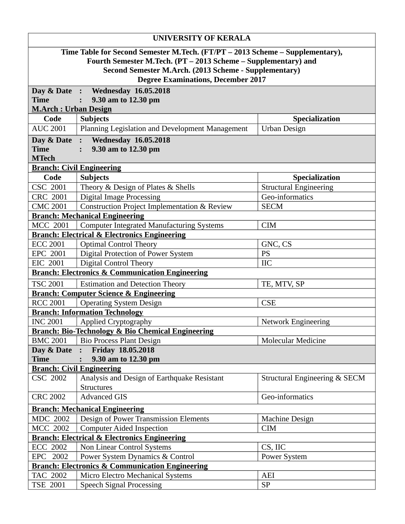| Time Table for Second Semester M.Tech. (FT/PT - 2013 Scheme - Supplementary),<br>Fourth Semester M.Tech. (PT - 2013 Scheme - Supplementary) and<br>Second Semester M.Arch. (2013 Scheme - Supplementary)<br><b>Degree Examinations, December 2017</b><br>Day & Date : Wednesday 16.05.2018<br><b>Time</b><br>9.30 am to 12.30 pm<br><u> M.Arch : Urban Design</u><br>Code<br><b>Subjects</b><br>Specialization<br><b>AUC 2001</b><br>Planning Legislation and Development Management<br>Urban Design<br><b>Wednesday 16.05.2018</b><br>Day & Date<br>$\ddot{\cdot}$<br>9.30 am to 12.30 pm<br><b>Time</b><br><b>MTech</b><br><b>Branch: Civil Engineering</b><br><b>Subjects</b><br>Code<br>Specialization<br>CSC 2001<br><b>Structural Engineering</b><br>Theory & Design of Plates & Shells<br>Geo-informatics<br><b>Digital Image Processing</b><br><b>CRC 2001</b><br><b>Construction Project Implementation &amp; Review</b><br><b>CMC 2001</b><br><b>SECM</b><br><b>Branch: Mechanical Engineering</b><br><b>MCC 2001</b><br><b>Computer Integrated Manufacturing Systems</b><br><b>CIM</b><br><b>Branch: Electrical &amp; Electronics Engineering</b><br><b>ECC 2001</b><br><b>Optimal Control Theory</b><br>GNC, CS<br><b>Digital Protection of Power System</b><br>EPC 2001<br><b>PS</b><br><b>Digital Control Theory</b><br>EIC 2001<br><b>IIC</b><br><b>Branch: Electronics &amp; Communication Engineering</b><br><b>TSC 2001</b><br><b>Estimation and Detection Theory</b><br>TE, MTV, SP<br><b>Branch: Computer Science &amp; Engineering</b><br><b>RCC 2001</b><br><b>Operating System Design</b><br><b>CSE</b><br><b>Branch: Information Technology</b><br><b>INC 2001</b><br><b>Applied Cryptography</b><br><b>Network Engineering</b><br><b>Branch: Bio-Technology &amp; Bio Chemical Engineering</b><br><b>Molecular Medicine</b><br><b>BMC 2001</b><br><b>Bio Process Plant Design</b><br>Friday 18.05.2018<br>Day & Date:<br><b>Time</b><br>9.30 am to 12.30 pm<br><b>Branch: Civil Engineering</b><br><b>CSC 2002</b><br>Analysis and Design of Earthquake Resistant<br>Structural Engineering & SECM<br><b>Structures</b><br><b>CRC 2002</b><br><b>Advanced GIS</b><br>Geo-informatics<br><b>Branch: Mechanical Engineering</b><br><b>MDC 2002</b><br>Design of Power Transmission Elements<br>Machine Design<br><b>MCC 2002</b><br><b>Computer Aided Inspection</b><br><b>CIM</b><br><b>Branch: Electrical &amp; Electronics Engineering</b><br><b>ECC 2002</b><br><b>Non Linear Control Systems</b><br>CS, IIC<br>EPC 2002<br>Power System Dynamics & Control<br><b>Power System</b><br><b>Branch: Electronics &amp; Communication Engineering</b><br>Micro Electro Mechanical Systems<br>TAC 2002<br>AEI<br><b>SP</b><br>TSE 2001<br><b>Speech Signal Processing</b> |  | <b>UNIVERSITY OF KERALA</b> |  |  |  |
|------------------------------------------------------------------------------------------------------------------------------------------------------------------------------------------------------------------------------------------------------------------------------------------------------------------------------------------------------------------------------------------------------------------------------------------------------------------------------------------------------------------------------------------------------------------------------------------------------------------------------------------------------------------------------------------------------------------------------------------------------------------------------------------------------------------------------------------------------------------------------------------------------------------------------------------------------------------------------------------------------------------------------------------------------------------------------------------------------------------------------------------------------------------------------------------------------------------------------------------------------------------------------------------------------------------------------------------------------------------------------------------------------------------------------------------------------------------------------------------------------------------------------------------------------------------------------------------------------------------------------------------------------------------------------------------------------------------------------------------------------------------------------------------------------------------------------------------------------------------------------------------------------------------------------------------------------------------------------------------------------------------------------------------------------------------------------------------------------------------------------------------------------------------------------------------------------------------------------------------------------------------------------------------------------------------------------------------------------------------------------------------------------------------------------------------------------------------------------------------------------------------------------------------------------------------------------------------------------------------------------------------------------------------------------------------------------------------------------------------------------------------------------------------------|--|-----------------------------|--|--|--|
|                                                                                                                                                                                                                                                                                                                                                                                                                                                                                                                                                                                                                                                                                                                                                                                                                                                                                                                                                                                                                                                                                                                                                                                                                                                                                                                                                                                                                                                                                                                                                                                                                                                                                                                                                                                                                                                                                                                                                                                                                                                                                                                                                                                                                                                                                                                                                                                                                                                                                                                                                                                                                                                                                                                                                                                                |  |                             |  |  |  |
|                                                                                                                                                                                                                                                                                                                                                                                                                                                                                                                                                                                                                                                                                                                                                                                                                                                                                                                                                                                                                                                                                                                                                                                                                                                                                                                                                                                                                                                                                                                                                                                                                                                                                                                                                                                                                                                                                                                                                                                                                                                                                                                                                                                                                                                                                                                                                                                                                                                                                                                                                                                                                                                                                                                                                                                                |  |                             |  |  |  |
|                                                                                                                                                                                                                                                                                                                                                                                                                                                                                                                                                                                                                                                                                                                                                                                                                                                                                                                                                                                                                                                                                                                                                                                                                                                                                                                                                                                                                                                                                                                                                                                                                                                                                                                                                                                                                                                                                                                                                                                                                                                                                                                                                                                                                                                                                                                                                                                                                                                                                                                                                                                                                                                                                                                                                                                                |  |                             |  |  |  |
|                                                                                                                                                                                                                                                                                                                                                                                                                                                                                                                                                                                                                                                                                                                                                                                                                                                                                                                                                                                                                                                                                                                                                                                                                                                                                                                                                                                                                                                                                                                                                                                                                                                                                                                                                                                                                                                                                                                                                                                                                                                                                                                                                                                                                                                                                                                                                                                                                                                                                                                                                                                                                                                                                                                                                                                                |  |                             |  |  |  |
|                                                                                                                                                                                                                                                                                                                                                                                                                                                                                                                                                                                                                                                                                                                                                                                                                                                                                                                                                                                                                                                                                                                                                                                                                                                                                                                                                                                                                                                                                                                                                                                                                                                                                                                                                                                                                                                                                                                                                                                                                                                                                                                                                                                                                                                                                                                                                                                                                                                                                                                                                                                                                                                                                                                                                                                                |  |                             |  |  |  |
|                                                                                                                                                                                                                                                                                                                                                                                                                                                                                                                                                                                                                                                                                                                                                                                                                                                                                                                                                                                                                                                                                                                                                                                                                                                                                                                                                                                                                                                                                                                                                                                                                                                                                                                                                                                                                                                                                                                                                                                                                                                                                                                                                                                                                                                                                                                                                                                                                                                                                                                                                                                                                                                                                                                                                                                                |  |                             |  |  |  |
|                                                                                                                                                                                                                                                                                                                                                                                                                                                                                                                                                                                                                                                                                                                                                                                                                                                                                                                                                                                                                                                                                                                                                                                                                                                                                                                                                                                                                                                                                                                                                                                                                                                                                                                                                                                                                                                                                                                                                                                                                                                                                                                                                                                                                                                                                                                                                                                                                                                                                                                                                                                                                                                                                                                                                                                                |  |                             |  |  |  |
|                                                                                                                                                                                                                                                                                                                                                                                                                                                                                                                                                                                                                                                                                                                                                                                                                                                                                                                                                                                                                                                                                                                                                                                                                                                                                                                                                                                                                                                                                                                                                                                                                                                                                                                                                                                                                                                                                                                                                                                                                                                                                                                                                                                                                                                                                                                                                                                                                                                                                                                                                                                                                                                                                                                                                                                                |  |                             |  |  |  |
|                                                                                                                                                                                                                                                                                                                                                                                                                                                                                                                                                                                                                                                                                                                                                                                                                                                                                                                                                                                                                                                                                                                                                                                                                                                                                                                                                                                                                                                                                                                                                                                                                                                                                                                                                                                                                                                                                                                                                                                                                                                                                                                                                                                                                                                                                                                                                                                                                                                                                                                                                                                                                                                                                                                                                                                                |  |                             |  |  |  |
|                                                                                                                                                                                                                                                                                                                                                                                                                                                                                                                                                                                                                                                                                                                                                                                                                                                                                                                                                                                                                                                                                                                                                                                                                                                                                                                                                                                                                                                                                                                                                                                                                                                                                                                                                                                                                                                                                                                                                                                                                                                                                                                                                                                                                                                                                                                                                                                                                                                                                                                                                                                                                                                                                                                                                                                                |  |                             |  |  |  |
|                                                                                                                                                                                                                                                                                                                                                                                                                                                                                                                                                                                                                                                                                                                                                                                                                                                                                                                                                                                                                                                                                                                                                                                                                                                                                                                                                                                                                                                                                                                                                                                                                                                                                                                                                                                                                                                                                                                                                                                                                                                                                                                                                                                                                                                                                                                                                                                                                                                                                                                                                                                                                                                                                                                                                                                                |  |                             |  |  |  |
|                                                                                                                                                                                                                                                                                                                                                                                                                                                                                                                                                                                                                                                                                                                                                                                                                                                                                                                                                                                                                                                                                                                                                                                                                                                                                                                                                                                                                                                                                                                                                                                                                                                                                                                                                                                                                                                                                                                                                                                                                                                                                                                                                                                                                                                                                                                                                                                                                                                                                                                                                                                                                                                                                                                                                                                                |  |                             |  |  |  |
|                                                                                                                                                                                                                                                                                                                                                                                                                                                                                                                                                                                                                                                                                                                                                                                                                                                                                                                                                                                                                                                                                                                                                                                                                                                                                                                                                                                                                                                                                                                                                                                                                                                                                                                                                                                                                                                                                                                                                                                                                                                                                                                                                                                                                                                                                                                                                                                                                                                                                                                                                                                                                                                                                                                                                                                                |  |                             |  |  |  |
|                                                                                                                                                                                                                                                                                                                                                                                                                                                                                                                                                                                                                                                                                                                                                                                                                                                                                                                                                                                                                                                                                                                                                                                                                                                                                                                                                                                                                                                                                                                                                                                                                                                                                                                                                                                                                                                                                                                                                                                                                                                                                                                                                                                                                                                                                                                                                                                                                                                                                                                                                                                                                                                                                                                                                                                                |  |                             |  |  |  |
|                                                                                                                                                                                                                                                                                                                                                                                                                                                                                                                                                                                                                                                                                                                                                                                                                                                                                                                                                                                                                                                                                                                                                                                                                                                                                                                                                                                                                                                                                                                                                                                                                                                                                                                                                                                                                                                                                                                                                                                                                                                                                                                                                                                                                                                                                                                                                                                                                                                                                                                                                                                                                                                                                                                                                                                                |  |                             |  |  |  |
|                                                                                                                                                                                                                                                                                                                                                                                                                                                                                                                                                                                                                                                                                                                                                                                                                                                                                                                                                                                                                                                                                                                                                                                                                                                                                                                                                                                                                                                                                                                                                                                                                                                                                                                                                                                                                                                                                                                                                                                                                                                                                                                                                                                                                                                                                                                                                                                                                                                                                                                                                                                                                                                                                                                                                                                                |  |                             |  |  |  |
|                                                                                                                                                                                                                                                                                                                                                                                                                                                                                                                                                                                                                                                                                                                                                                                                                                                                                                                                                                                                                                                                                                                                                                                                                                                                                                                                                                                                                                                                                                                                                                                                                                                                                                                                                                                                                                                                                                                                                                                                                                                                                                                                                                                                                                                                                                                                                                                                                                                                                                                                                                                                                                                                                                                                                                                                |  |                             |  |  |  |
|                                                                                                                                                                                                                                                                                                                                                                                                                                                                                                                                                                                                                                                                                                                                                                                                                                                                                                                                                                                                                                                                                                                                                                                                                                                                                                                                                                                                                                                                                                                                                                                                                                                                                                                                                                                                                                                                                                                                                                                                                                                                                                                                                                                                                                                                                                                                                                                                                                                                                                                                                                                                                                                                                                                                                                                                |  |                             |  |  |  |
|                                                                                                                                                                                                                                                                                                                                                                                                                                                                                                                                                                                                                                                                                                                                                                                                                                                                                                                                                                                                                                                                                                                                                                                                                                                                                                                                                                                                                                                                                                                                                                                                                                                                                                                                                                                                                                                                                                                                                                                                                                                                                                                                                                                                                                                                                                                                                                                                                                                                                                                                                                                                                                                                                                                                                                                                |  |                             |  |  |  |
|                                                                                                                                                                                                                                                                                                                                                                                                                                                                                                                                                                                                                                                                                                                                                                                                                                                                                                                                                                                                                                                                                                                                                                                                                                                                                                                                                                                                                                                                                                                                                                                                                                                                                                                                                                                                                                                                                                                                                                                                                                                                                                                                                                                                                                                                                                                                                                                                                                                                                                                                                                                                                                                                                                                                                                                                |  |                             |  |  |  |
|                                                                                                                                                                                                                                                                                                                                                                                                                                                                                                                                                                                                                                                                                                                                                                                                                                                                                                                                                                                                                                                                                                                                                                                                                                                                                                                                                                                                                                                                                                                                                                                                                                                                                                                                                                                                                                                                                                                                                                                                                                                                                                                                                                                                                                                                                                                                                                                                                                                                                                                                                                                                                                                                                                                                                                                                |  |                             |  |  |  |
|                                                                                                                                                                                                                                                                                                                                                                                                                                                                                                                                                                                                                                                                                                                                                                                                                                                                                                                                                                                                                                                                                                                                                                                                                                                                                                                                                                                                                                                                                                                                                                                                                                                                                                                                                                                                                                                                                                                                                                                                                                                                                                                                                                                                                                                                                                                                                                                                                                                                                                                                                                                                                                                                                                                                                                                                |  |                             |  |  |  |
|                                                                                                                                                                                                                                                                                                                                                                                                                                                                                                                                                                                                                                                                                                                                                                                                                                                                                                                                                                                                                                                                                                                                                                                                                                                                                                                                                                                                                                                                                                                                                                                                                                                                                                                                                                                                                                                                                                                                                                                                                                                                                                                                                                                                                                                                                                                                                                                                                                                                                                                                                                                                                                                                                                                                                                                                |  |                             |  |  |  |
|                                                                                                                                                                                                                                                                                                                                                                                                                                                                                                                                                                                                                                                                                                                                                                                                                                                                                                                                                                                                                                                                                                                                                                                                                                                                                                                                                                                                                                                                                                                                                                                                                                                                                                                                                                                                                                                                                                                                                                                                                                                                                                                                                                                                                                                                                                                                                                                                                                                                                                                                                                                                                                                                                                                                                                                                |  |                             |  |  |  |
|                                                                                                                                                                                                                                                                                                                                                                                                                                                                                                                                                                                                                                                                                                                                                                                                                                                                                                                                                                                                                                                                                                                                                                                                                                                                                                                                                                                                                                                                                                                                                                                                                                                                                                                                                                                                                                                                                                                                                                                                                                                                                                                                                                                                                                                                                                                                                                                                                                                                                                                                                                                                                                                                                                                                                                                                |  |                             |  |  |  |
|                                                                                                                                                                                                                                                                                                                                                                                                                                                                                                                                                                                                                                                                                                                                                                                                                                                                                                                                                                                                                                                                                                                                                                                                                                                                                                                                                                                                                                                                                                                                                                                                                                                                                                                                                                                                                                                                                                                                                                                                                                                                                                                                                                                                                                                                                                                                                                                                                                                                                                                                                                                                                                                                                                                                                                                                |  |                             |  |  |  |
|                                                                                                                                                                                                                                                                                                                                                                                                                                                                                                                                                                                                                                                                                                                                                                                                                                                                                                                                                                                                                                                                                                                                                                                                                                                                                                                                                                                                                                                                                                                                                                                                                                                                                                                                                                                                                                                                                                                                                                                                                                                                                                                                                                                                                                                                                                                                                                                                                                                                                                                                                                                                                                                                                                                                                                                                |  |                             |  |  |  |
|                                                                                                                                                                                                                                                                                                                                                                                                                                                                                                                                                                                                                                                                                                                                                                                                                                                                                                                                                                                                                                                                                                                                                                                                                                                                                                                                                                                                                                                                                                                                                                                                                                                                                                                                                                                                                                                                                                                                                                                                                                                                                                                                                                                                                                                                                                                                                                                                                                                                                                                                                                                                                                                                                                                                                                                                |  |                             |  |  |  |
|                                                                                                                                                                                                                                                                                                                                                                                                                                                                                                                                                                                                                                                                                                                                                                                                                                                                                                                                                                                                                                                                                                                                                                                                                                                                                                                                                                                                                                                                                                                                                                                                                                                                                                                                                                                                                                                                                                                                                                                                                                                                                                                                                                                                                                                                                                                                                                                                                                                                                                                                                                                                                                                                                                                                                                                                |  |                             |  |  |  |
|                                                                                                                                                                                                                                                                                                                                                                                                                                                                                                                                                                                                                                                                                                                                                                                                                                                                                                                                                                                                                                                                                                                                                                                                                                                                                                                                                                                                                                                                                                                                                                                                                                                                                                                                                                                                                                                                                                                                                                                                                                                                                                                                                                                                                                                                                                                                                                                                                                                                                                                                                                                                                                                                                                                                                                                                |  |                             |  |  |  |
|                                                                                                                                                                                                                                                                                                                                                                                                                                                                                                                                                                                                                                                                                                                                                                                                                                                                                                                                                                                                                                                                                                                                                                                                                                                                                                                                                                                                                                                                                                                                                                                                                                                                                                                                                                                                                                                                                                                                                                                                                                                                                                                                                                                                                                                                                                                                                                                                                                                                                                                                                                                                                                                                                                                                                                                                |  |                             |  |  |  |
|                                                                                                                                                                                                                                                                                                                                                                                                                                                                                                                                                                                                                                                                                                                                                                                                                                                                                                                                                                                                                                                                                                                                                                                                                                                                                                                                                                                                                                                                                                                                                                                                                                                                                                                                                                                                                                                                                                                                                                                                                                                                                                                                                                                                                                                                                                                                                                                                                                                                                                                                                                                                                                                                                                                                                                                                |  |                             |  |  |  |
|                                                                                                                                                                                                                                                                                                                                                                                                                                                                                                                                                                                                                                                                                                                                                                                                                                                                                                                                                                                                                                                                                                                                                                                                                                                                                                                                                                                                                                                                                                                                                                                                                                                                                                                                                                                                                                                                                                                                                                                                                                                                                                                                                                                                                                                                                                                                                                                                                                                                                                                                                                                                                                                                                                                                                                                                |  |                             |  |  |  |
|                                                                                                                                                                                                                                                                                                                                                                                                                                                                                                                                                                                                                                                                                                                                                                                                                                                                                                                                                                                                                                                                                                                                                                                                                                                                                                                                                                                                                                                                                                                                                                                                                                                                                                                                                                                                                                                                                                                                                                                                                                                                                                                                                                                                                                                                                                                                                                                                                                                                                                                                                                                                                                                                                                                                                                                                |  |                             |  |  |  |
|                                                                                                                                                                                                                                                                                                                                                                                                                                                                                                                                                                                                                                                                                                                                                                                                                                                                                                                                                                                                                                                                                                                                                                                                                                                                                                                                                                                                                                                                                                                                                                                                                                                                                                                                                                                                                                                                                                                                                                                                                                                                                                                                                                                                                                                                                                                                                                                                                                                                                                                                                                                                                                                                                                                                                                                                |  |                             |  |  |  |
|                                                                                                                                                                                                                                                                                                                                                                                                                                                                                                                                                                                                                                                                                                                                                                                                                                                                                                                                                                                                                                                                                                                                                                                                                                                                                                                                                                                                                                                                                                                                                                                                                                                                                                                                                                                                                                                                                                                                                                                                                                                                                                                                                                                                                                                                                                                                                                                                                                                                                                                                                                                                                                                                                                                                                                                                |  |                             |  |  |  |
|                                                                                                                                                                                                                                                                                                                                                                                                                                                                                                                                                                                                                                                                                                                                                                                                                                                                                                                                                                                                                                                                                                                                                                                                                                                                                                                                                                                                                                                                                                                                                                                                                                                                                                                                                                                                                                                                                                                                                                                                                                                                                                                                                                                                                                                                                                                                                                                                                                                                                                                                                                                                                                                                                                                                                                                                |  |                             |  |  |  |
|                                                                                                                                                                                                                                                                                                                                                                                                                                                                                                                                                                                                                                                                                                                                                                                                                                                                                                                                                                                                                                                                                                                                                                                                                                                                                                                                                                                                                                                                                                                                                                                                                                                                                                                                                                                                                                                                                                                                                                                                                                                                                                                                                                                                                                                                                                                                                                                                                                                                                                                                                                                                                                                                                                                                                                                                |  |                             |  |  |  |
|                                                                                                                                                                                                                                                                                                                                                                                                                                                                                                                                                                                                                                                                                                                                                                                                                                                                                                                                                                                                                                                                                                                                                                                                                                                                                                                                                                                                                                                                                                                                                                                                                                                                                                                                                                                                                                                                                                                                                                                                                                                                                                                                                                                                                                                                                                                                                                                                                                                                                                                                                                                                                                                                                                                                                                                                |  |                             |  |  |  |
|                                                                                                                                                                                                                                                                                                                                                                                                                                                                                                                                                                                                                                                                                                                                                                                                                                                                                                                                                                                                                                                                                                                                                                                                                                                                                                                                                                                                                                                                                                                                                                                                                                                                                                                                                                                                                                                                                                                                                                                                                                                                                                                                                                                                                                                                                                                                                                                                                                                                                                                                                                                                                                                                                                                                                                                                |  |                             |  |  |  |
|                                                                                                                                                                                                                                                                                                                                                                                                                                                                                                                                                                                                                                                                                                                                                                                                                                                                                                                                                                                                                                                                                                                                                                                                                                                                                                                                                                                                                                                                                                                                                                                                                                                                                                                                                                                                                                                                                                                                                                                                                                                                                                                                                                                                                                                                                                                                                                                                                                                                                                                                                                                                                                                                                                                                                                                                |  |                             |  |  |  |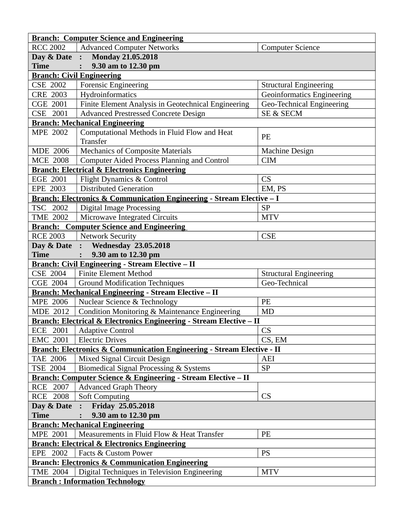|                                                                             | <b>Branch: Computer Science and Engineering</b>                                   |                                   |  |  |
|-----------------------------------------------------------------------------|-----------------------------------------------------------------------------------|-----------------------------------|--|--|
| <b>RCC 2002</b>                                                             | <b>Advanced Computer Networks</b>                                                 | <b>Computer Science</b>           |  |  |
|                                                                             | Day & Date : Monday 21.05.2018                                                    |                                   |  |  |
| <b>Time</b>                                                                 | 9.30 am to 12.30 pm                                                               |                                   |  |  |
|                                                                             | <b>Branch: Civil Engineering</b>                                                  |                                   |  |  |
| <b>CSE 2002</b>                                                             | <b>Forensic Engineering</b>                                                       | <b>Structural Engineering</b>     |  |  |
| <b>CRE 2003</b>                                                             | Hydroinformatics                                                                  | <b>Geoinformatics Engineering</b> |  |  |
| <b>CGE 2001</b>                                                             | Finite Element Analysis in Geotechnical Engineering                               | Geo-Technical Engineering         |  |  |
| CSE 2001                                                                    | <b>Advanced Prestressed Concrete Design</b>                                       | SE & SECM                         |  |  |
|                                                                             | <b>Branch: Mechanical Engineering</b>                                             |                                   |  |  |
| <b>MPE 2002</b>                                                             | Computational Methods in Fluid Flow and Heat<br>Transfer                          | PE                                |  |  |
| <b>MDE 2006</b>                                                             | <b>Mechanics of Composite Materials</b>                                           | <b>Machine Design</b>             |  |  |
| <b>MCE 2008</b>                                                             | <b>Computer Aided Process Planning and Control</b>                                | <b>CIM</b>                        |  |  |
|                                                                             | <b>Branch: Electrical &amp; Electronics Engineering</b>                           |                                   |  |  |
| <b>EGE 2001</b>                                                             | Flight Dynamics & Control                                                         | CS                                |  |  |
| EPE 2003                                                                    | <b>Distributed Generation</b>                                                     | EM, PS                            |  |  |
|                                                                             | Branch: Electronics & Communication Engineering - Stream Elective - I             |                                   |  |  |
| TSC 2002                                                                    | <b>Digital Image Processing</b>                                                   | <b>SP</b>                         |  |  |
| <b>TME 2002</b>                                                             | Microwave Integrated Circuits                                                     | <b>MTV</b>                        |  |  |
|                                                                             | <b>Branch: Computer Science and Engineering</b>                                   |                                   |  |  |
| <b>RCE 2003</b>                                                             | <b>Network Security</b>                                                           | <b>CSE</b>                        |  |  |
| Day & Date :                                                                | <b>Wednesday 23.05.2018</b>                                                       |                                   |  |  |
| <b>Time</b>                                                                 | 9.30 am to 12.30 pm<br>$\ddot{\cdot}$                                             |                                   |  |  |
|                                                                             | <b>Branch: Civil Engineering - Stream Elective - II</b>                           |                                   |  |  |
| <b>CSE 2004</b>                                                             | <b>Finite Element Method</b>                                                      | <b>Structural Engineering</b>     |  |  |
| <b>CGE 2004</b>                                                             | <b>Ground Modification Techniques</b>                                             | Geo-Technical                     |  |  |
|                                                                             | <b>Branch: Mechanical Engineering - Stream Elective – II</b>                      |                                   |  |  |
| <b>MPE 2006</b>                                                             | Nuclear Science & Technology                                                      | PE                                |  |  |
| <b>MDE 2012</b>                                                             | Condition Monitoring & Maintenance Engineering                                    | <b>MD</b>                         |  |  |
|                                                                             | Branch: Electrical & Electronics Engineering - Stream Elective - II               |                                   |  |  |
| ECE 2001                                                                    | <b>Adaptive Control</b>                                                           | CS                                |  |  |
| <b>EMC 2001</b>                                                             | <b>Electric Drives</b>                                                            | CS, EM                            |  |  |
|                                                                             | <b>Branch: Electronics &amp; Communication Engineering - Stream Elective - II</b> |                                   |  |  |
| <b>TAE 2006</b>                                                             | Mixed Signal Circuit Design                                                       | AEI                               |  |  |
| TSE 2004                                                                    |                                                                                   | <b>SP</b>                         |  |  |
|                                                                             | Biomedical Signal Processing & Systems                                            |                                   |  |  |
| <b>Branch: Computer Science &amp; Engineering - Stream Elective – II</b>    |                                                                                   |                                   |  |  |
| RCE 2007                                                                    | <b>Advanced Graph Theory</b>                                                      |                                   |  |  |
| RCE 2008                                                                    | <b>Soft Computing</b>                                                             | CS                                |  |  |
| Friday 25.05.2018<br>Day & Date :                                           |                                                                                   |                                   |  |  |
| 9.30 am to 12.30 pm<br><b>Time</b><br><b>Branch: Mechanical Engineering</b> |                                                                                   |                                   |  |  |
|                                                                             |                                                                                   |                                   |  |  |
| <b>MPE 2001</b>                                                             | Measurements in Fluid Flow & Heat Transfer                                        | PE                                |  |  |
| <b>Branch: Electrical &amp; Electronics Engineering</b>                     |                                                                                   |                                   |  |  |
| EPE 2002                                                                    | Facts & Custom Power                                                              | <b>PS</b>                         |  |  |
| <b>Branch: Electronics &amp; Communication Engineering</b>                  |                                                                                   |                                   |  |  |
| <b>TME 2004</b>                                                             | Digital Techniques in Television Engineering                                      | <b>MTV</b>                        |  |  |
| <b>Branch: Information Technology</b>                                       |                                                                                   |                                   |  |  |